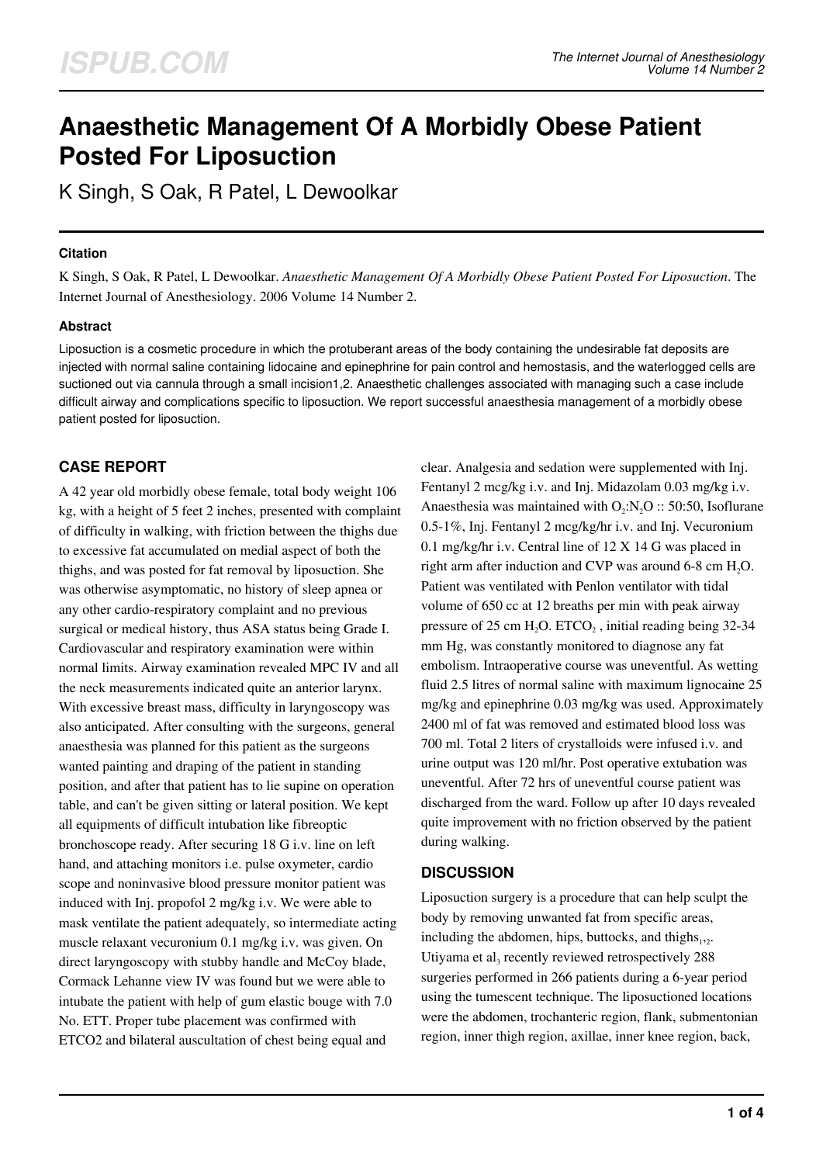# **Anaesthetic Management Of A Morbidly Obese Patient Posted For Liposuction**

K Singh, S Oak, R Patel, L Dewoolkar

## **Citation**

K Singh, S Oak, R Patel, L Dewoolkar. *Anaesthetic Management Of A Morbidly Obese Patient Posted For Liposuction*. The Internet Journal of Anesthesiology. 2006 Volume 14 Number 2.

## **Abstract**

Liposuction is a cosmetic procedure in which the protuberant areas of the body containing the undesirable fat deposits are injected with normal saline containing lidocaine and epinephrine for pain control and hemostasis, and the waterlogged cells are suctioned out via cannula through a small incision1,2. Anaesthetic challenges associated with managing such a case include difficult airway and complications specific to liposuction. We report successful anaesthesia management of a morbidly obese patient posted for liposuction.

# **CASE REPORT**

A 42 year old morbidly obese female, total body weight 106 kg, with a height of 5 feet 2 inches, presented with complaint of difficulty in walking, with friction between the thighs due to excessive fat accumulated on medial aspect of both the thighs, and was posted for fat removal by liposuction. She was otherwise asymptomatic, no history of sleep apnea or any other cardio-respiratory complaint and no previous surgical or medical history, thus ASA status being Grade I. Cardiovascular and respiratory examination were within normal limits. Airway examination revealed MPC IV and all the neck measurements indicated quite an anterior larynx. With excessive breast mass, difficulty in laryngoscopy was also anticipated. After consulting with the surgeons, general anaesthesia was planned for this patient as the surgeons wanted painting and draping of the patient in standing position, and after that patient has to lie supine on operation table, and can't be given sitting or lateral position. We kept all equipments of difficult intubation like fibreoptic bronchoscope ready. After securing 18 G i.v. line on left hand, and attaching monitors i.e. pulse oxymeter, cardio scope and noninvasive blood pressure monitor patient was induced with Inj. propofol 2 mg/kg i.v. We were able to mask ventilate the patient adequately, so intermediate acting muscle relaxant vecuronium 0.1 mg/kg i.v. was given. On direct laryngoscopy with stubby handle and McCoy blade, Cormack Lehanne view IV was found but we were able to intubate the patient with help of gum elastic bouge with 7.0 No. ETT. Proper tube placement was confirmed with ETCO2 and bilateral auscultation of chest being equal and

clear. Analgesia and sedation were supplemented with Inj. Fentanyl 2 mcg/kg i.v. and Inj. Midazolam 0.03 mg/kg i.v. Anaesthesia was maintained with  $O_2:N_2O$  :: 50:50, Isoflurane 0.5-1%, Inj. Fentanyl 2 mcg/kg/hr i.v. and Inj. Vecuronium 0.1 mg/kg/hr i.v. Central line of 12 X 14 G was placed in right arm after induction and CVP was around 6-8 cm  $H_2O$ . Patient was ventilated with Penlon ventilator with tidal volume of 650 cc at 12 breaths per min with peak airway pressure of 25 cm  $H_2O$ .  $ETCO_2$ , initial reading being 32-34 mm Hg, was constantly monitored to diagnose any fat embolism. Intraoperative course was uneventful. As wetting fluid 2.5 litres of normal saline with maximum lignocaine 25 mg/kg and epinephrine 0.03 mg/kg was used. Approximately 2400 ml of fat was removed and estimated blood loss was 700 ml. Total 2 liters of crystalloids were infused i.v. and urine output was 120 ml/hr. Post operative extubation was uneventful. After 72 hrs of uneventful course patient was discharged from the ward. Follow up after 10 days revealed quite improvement with no friction observed by the patient during walking.

## **DISCUSSION**

Liposuction surgery is a procedure that can help sculpt the body by removing unwanted fat from specific areas, including the abdomen, hips, buttocks, and thighs $_{1,2}$ . Utiyama et al<sub>3</sub> recently reviewed retrospectively 288 surgeries performed in 266 patients during a 6-year period using the tumescent technique. The liposuctioned locations were the abdomen, trochanteric region, flank, submentonian region, inner thigh region, axillae, inner knee region, back,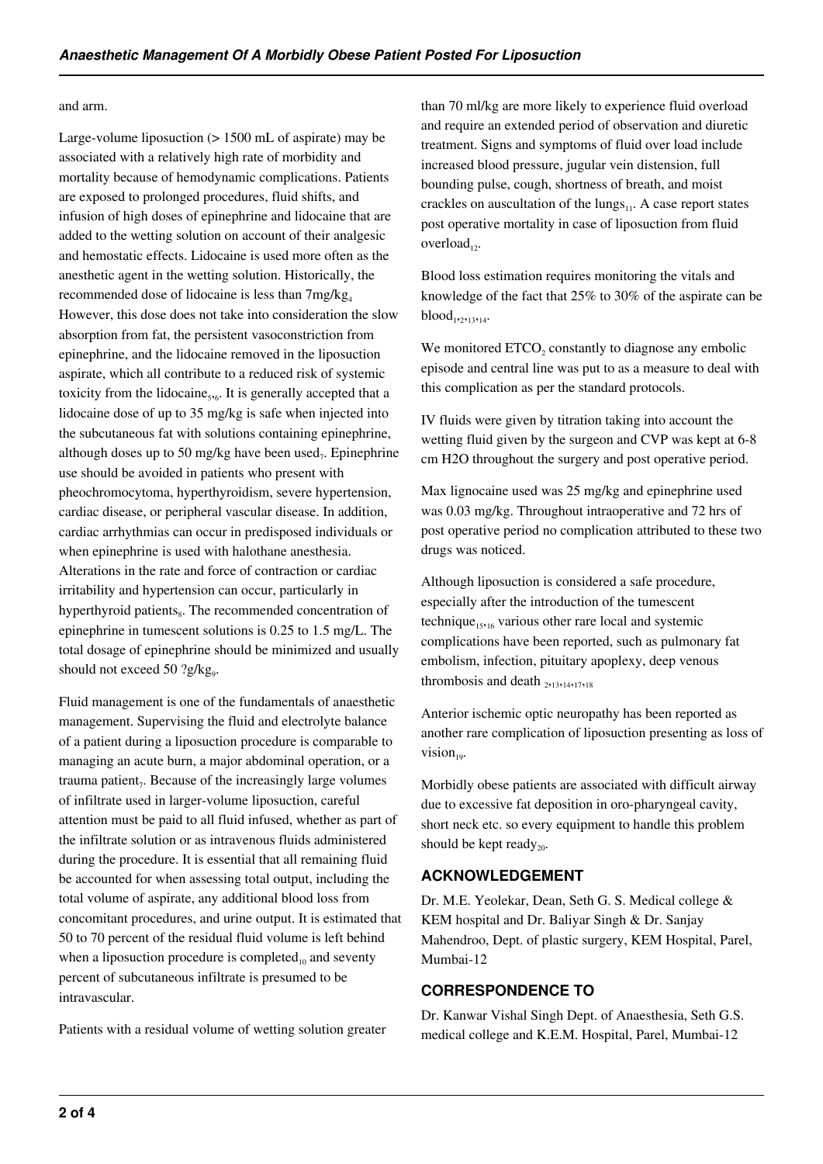#### and arm.

Large-volume liposuction ( $> 1500$  mL of aspirate) may be associated with a relatively high rate of morbidity and mortality because of hemodynamic complications. Patients are exposed to prolonged procedures, fluid shifts, and infusion of high doses of epinephrine and lidocaine that are added to the wetting solution on account of their analgesic and hemostatic effects. Lidocaine is used more often as the anesthetic agent in the wetting solution. Historically, the recommended dose of lidocaine is less than  $7mg/kg<sub>4</sub>$ However, this dose does not take into consideration the slow absorption from fat, the persistent vasoconstriction from epinephrine, and the lidocaine removed in the liposuction aspirate, which all contribute to a reduced risk of systemic toxicity from the lidocaine<sub>5,6</sub>. It is generally accepted that a lidocaine dose of up to 35 mg/kg is safe when injected into the subcutaneous fat with solutions containing epinephrine, although doses up to 50 mg/kg have been used<sub>7</sub>. Epinephrine use should be avoided in patients who present with pheochromocytoma, hyperthyroidism, severe hypertension, cardiac disease, or peripheral vascular disease. In addition, cardiac arrhythmias can occur in predisposed individuals or when epinephrine is used with halothane anesthesia. Alterations in the rate and force of contraction or cardiac irritability and hypertension can occur, particularly in hyperthyroid patients, The recommended concentration of epinephrine in tumescent solutions is 0.25 to 1.5 mg/L. The total dosage of epinephrine should be minimized and usually should not exceed 50 ?g/kg<sub>9</sub>.

Fluid management is one of the fundamentals of anaesthetic management. Supervising the fluid and electrolyte balance of a patient during a liposuction procedure is comparable to managing an acute burn, a major abdominal operation, or a trauma patient,. Because of the increasingly large volumes of infiltrate used in larger-volume liposuction, careful attention must be paid to all fluid infused, whether as part of the infiltrate solution or as intravenous fluids administered during the procedure. It is essential that all remaining fluid be accounted for when assessing total output, including the total volume of aspirate, any additional blood loss from concomitant procedures, and urine output. It is estimated that 50 to 70 percent of the residual fluid volume is left behind when a liposuction procedure is completed $_{10}$  and seventy percent of subcutaneous infiltrate is presumed to be intravascular.

Patients with a residual volume of wetting solution greater

than 70 ml/kg are more likely to experience fluid overload and require an extended period of observation and diuretic treatment. Signs and symptoms of fluid over load include increased blood pressure, jugular vein distension, full bounding pulse, cough, shortness of breath, and moist crackles on auscultation of the lungs $_{11}$ . A case report states post operative mortality in case of liposuction from fluid overload<sub>12</sub>.

Blood loss estimation requires monitoring the vitals and knowledge of the fact that 25% to 30% of the aspirate can be  $\text{blood}_{1,2,13,14}.$ 

We monitored  $ETCO<sub>2</sub>$  constantly to diagnose any embolic episode and central line was put to as a measure to deal with this complication as per the standard protocols.

IV fluids were given by titration taking into account the wetting fluid given by the surgeon and CVP was kept at 6-8 cm H2O throughout the surgery and post operative period.

Max lignocaine used was 25 mg/kg and epinephrine used was 0.03 mg/kg. Throughout intraoperative and 72 hrs of post operative period no complication attributed to these two drugs was noticed.

Although liposuction is considered a safe procedure, especially after the introduction of the tumescent technique<sub>15,16</sub> various other rare local and systemic complications have been reported, such as pulmonary fat embolism, infection, pituitary apoplexy, deep venous thrombosis and death  $_{2\cdot13,14\cdot17,18}$ 

Anterior ischemic optic neuropathy has been reported as another rare complication of liposuction presenting as loss of vision $_{10}$ .

Morbidly obese patients are associated with difficult airway due to excessive fat deposition in oro-pharyngeal cavity, short neck etc. so every equipment to handle this problem should be kept ready<sub>20</sub>.

#### **ACKNOWLEDGEMENT**

Dr. M.E. Yeolekar, Dean, Seth G. S. Medical college & KEM hospital and Dr. Baliyar Singh & Dr. Sanjay Mahendroo, Dept. of plastic surgery, KEM Hospital, Parel, Mumbai-12

## **CORRESPONDENCE TO**

Dr. Kanwar Vishal Singh Dept. of Anaesthesia, Seth G.S. medical college and K.E.M. Hospital, Parel, Mumbai-12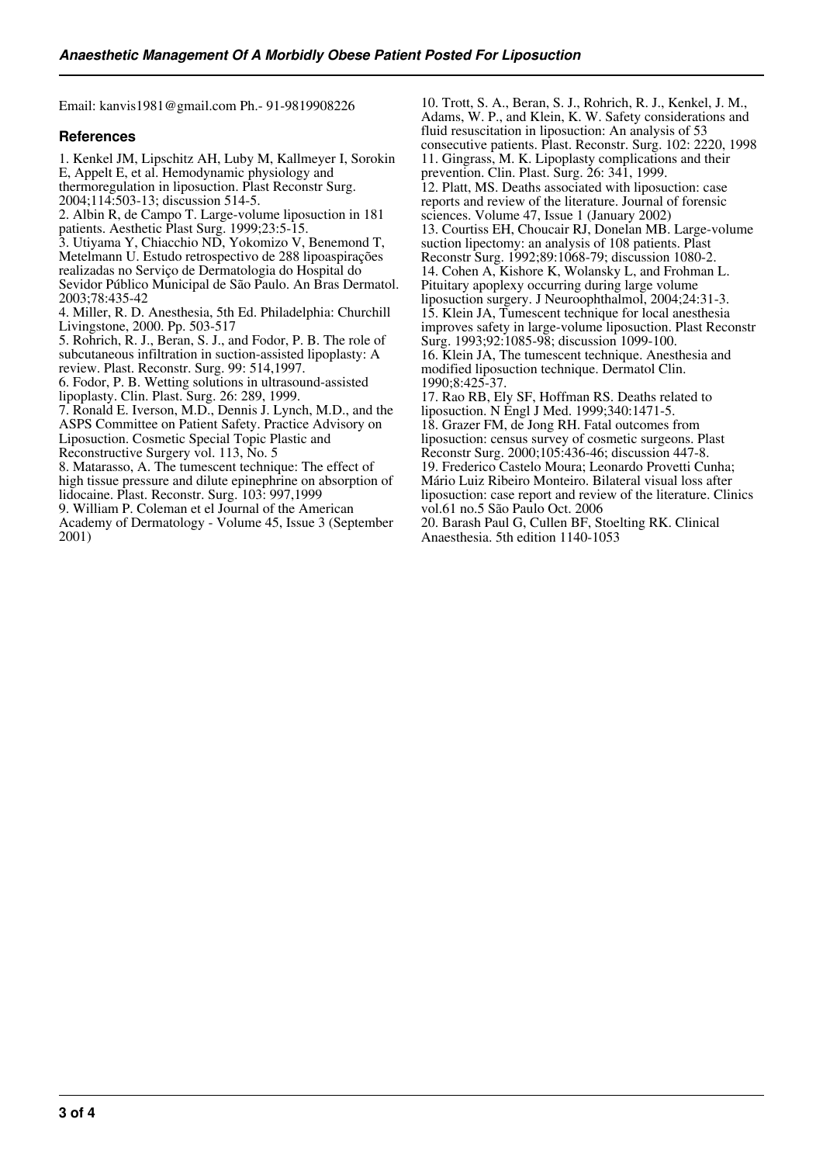Email: kanvis1981@gmail.com Ph.- 91-9819908226

#### **References**

1. Kenkel JM, Lipschitz AH, Luby M, Kallmeyer I, Sorokin E, Appelt E, et al. Hemodynamic physiology and thermoregulation in liposuction. Plast Reconstr Surg. 2004;114:503-13; discussion 514-5. 2. Albin R, de Campo T. Large-volume liposuction in 181

patients. Aesthetic Plast Surg. 1999;23:5-15. 3. Utiyama Y, Chiacchio ND, Yokomizo V, Benemond T, Metelmann U. Estudo retrospectivo de 288 lipoaspirações realizadas no Serviço de Dermatologia do Hospital do Sevidor Público Municipal de São Paulo. An Bras Dermatol. 2003;78:435-42

4. Miller, R. D. Anesthesia, 5th Ed. Philadelphia: Churchill Livingstone, 2000. Pp. 503-517

5. Rohrich, R. J., Beran, S. J., and Fodor, P. B. The role of subcutaneous infiltration in suction-assisted lipoplasty: A review. Plast. Reconstr. Surg. 99: 514,1997.

6. Fodor, P. B. Wetting solutions in ultrasound-assisted lipoplasty. Clin. Plast. Surg. 26: 289, 1999.

7. Ronald E. Iverson, M.D., Dennis J. Lynch, M.D., and the ASPS Committee on Patient Safety. Practice Advisory on

Liposuction. Cosmetic Special Topic Plastic and

Reconstructive Surgery vol. 113, No. 5

8. Matarasso, A. The tumescent technique: The effect of high tissue pressure and dilute epinephrine on absorption of lidocaine. Plast. Reconstr. Surg. 103: 997,1999

9. William P. Coleman et el Journal of the American Academy of Dermatology - Volume 45, Issue 3 (September

2001)

10. Trott, S. A., Beran, S. J., Rohrich, R. J., Kenkel, J. M., Adams, W. P., and Klein, K. W. Safety considerations and fluid resuscitation in liposuction: An analysis of 53 consecutive patients. Plast. Reconstr. Surg. 102: 2220, 1998 11. Gingrass, M. K. Lipoplasty complications and their prevention. Clin. Plast. Surg. 26: 341, 1999. 12. Platt, MS. Deaths associated with liposuction: case reports and review of the literature. Journal of forensic sciences. Volume 47, Issue 1 (January 2002) 13. Courtiss EH, Choucair RJ, Donelan MB. Large-volume suction lipectomy: an analysis of 108 patients. Plast Reconstr Surg. 1992;89:1068-79; discussion 1080-2. 14. Cohen A, Kishore K, Wolansky L, and Frohman L. Pituitary apoplexy occurring during large volume liposuction surgery. J Neuroophthalmol, 2004;24:31-3. 15. Klein JA, Tumescent technique for local anesthesia improves safety in large-volume liposuction. Plast Reconstr Surg. 1993;92:1085-98; discussion 1099-100. 16. Klein JA, The tumescent technique. Anesthesia and modified liposuction technique. Dermatol Clin. 1990;8:425-37.

17. Rao RB, Ely SF, Hoffman RS. Deaths related to liposuction. N Engl J Med. 1999;340:1471-5. 18. Grazer FM, de Jong RH. Fatal outcomes from liposuction: census survey of cosmetic surgeons. Plast Reconstr Surg. 2000;105:436-46; discussion 447-8. 19. Frederico Castelo Moura; Leonardo Provetti Cunha; Mário Luiz Ribeiro Monteiro. Bilateral visual loss after liposuction: case report and review of the literature. Clinics vol.61 no.5 São Paulo Oct. 2006

20. Barash Paul G, Cullen BF, Stoelting RK. Clinical Anaesthesia. 5th edition 1140-1053